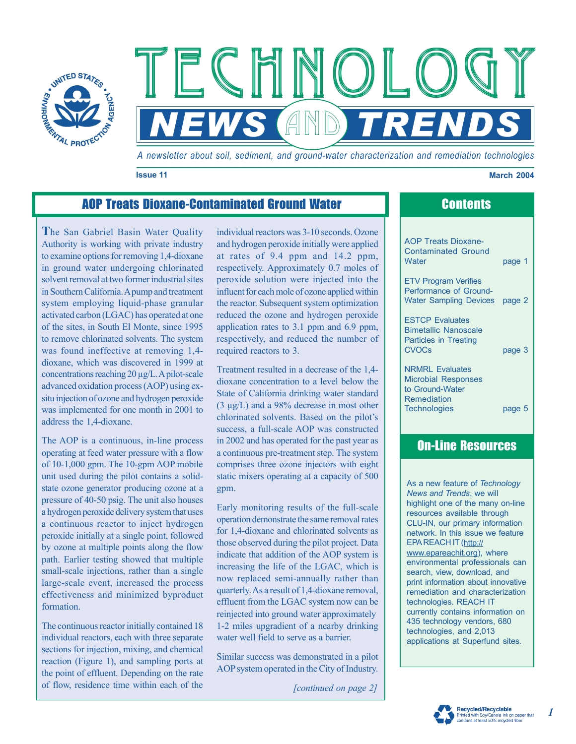

*A newsletter about soil, sediment, and ground-water characterization and remediation technologies* 

**NEWS AND TRENDS** 

Technology Technology Technology

### **Issue 11 March 2004**

# AOP Treats Dioxane-Contaminated Ground Water **Contents**

**T**he San Gabriel Basin Water Quality Authority is working with private industry to examine options for removing 1,4-dioxane in ground water undergoing chlorinated solvent removal at two former industrial sites in Southern California.A pump and treatment system employing liquid-phase granular activated carbon (LGAC) has operated at one of the sites, in South El Monte, since 1995 to remove chlorinated solvents. The system was found ineffective at removing 1,4 dioxane, which was discovered in 1999 at concentrations reaching 20 µg/L.A pilot-scale advanced oxidation process (AOP) using exsitu injection of ozone and hydrogen peroxide was implemented for one month in 2001 to address the 1,4-dioxane.

The AOP is a continuous, in-line process operating at feed water pressure with a flow of 10-1,000 gpm. The 10-gpm AOP mobile unit used during the pilot contains a solidstate ozone generator producing ozone at a pressure of 40-50 psig. The unit also houses a hydrogen peroxide delivery system that uses a continuous reactor to inject hydrogen peroxide initially at a single point, followed by ozone at multiple points along the flow path. Earlier testing showed that multiple small-scale injections, rather than a single large-scale event, increased the process effectiveness and minimized byproduct formation.

The continuous reactor initially contained 18 individual reactors, each with three separate sections for injection, mixing, and chemical reaction (Figure 1), and sampling ports at the point of effluent. Depending on the rate of flow, residence time within each of the

individual reactors was 3-10 seconds. Ozone and hydrogen peroxide initially were applied at rates of 9.4 ppm and 14.2 ppm, respectively. Approximately 0.7 moles of peroxide solution were injected into the influent for each mole of ozone applied within the reactor. Subsequent system optimization reduced the ozone and hydrogen peroxide application rates to 3.1 ppm and 6.9 ppm, respectively, and reduced the number of required reactors to 3.

Treatment resulted in a decrease of the 1,4 dioxane concentration to a level below the State of California drinking water standard (3 µg/L) and a 98% decrease in most other chlorinated solvents. Based on the pilot's success, a full-scale AOP was constructed in 2002 and has operated for the past year as a continuous pre-treatment step. The system comprises three ozone injectors with eight static mixers operating at a capacity of 500 gpm.

Early monitoring results of the full-scale operation demonstrate the same removal rates for 1,4-dioxane and chlorinated solvents as those observed during the pilot project. Data indicate that addition of the AOP system is increasing the life of the LGAC, which is now replaced semi-annually rather than quarterly. As a result of 1,4-dioxane removal, effluent from the LGAC system now can be reinjected into ground water approximately 1-2 miles upgradient of a nearby drinking water well field to serve as a barrier.

Similar success was demonstrated in a pilot AOP system operated in the City of Industry.

*[continued on page 2]* 

AOP Treats Dioxane-Contaminated Ground Water **page 1** 

ETV Program Verifies Performance of Ground-Water Sampling Devices page 2

ESTCP Evaluates Bimetallic Nanoscale Particles in Treating CVOCs page 3

NRMRL Evaluates Microbial Responses to Ground-Water Remediation Technologies page 5

## On-Line Resources

As a new feature of *Technology News and Trends*, we will highlight one of the many on-line resources available through CLU-IN, our primary information network. In this issue we feature [EPA REACH IT \(http](http://www.epareachit.org):// www.epareachit.org), where environmental professionals can search, view, download, and print information about innovative remediation and characterization technologies. REACH IT currently contains information on 435 technology vendors, 680 technologies, and 2,013 applications at Superfund sites.



*1*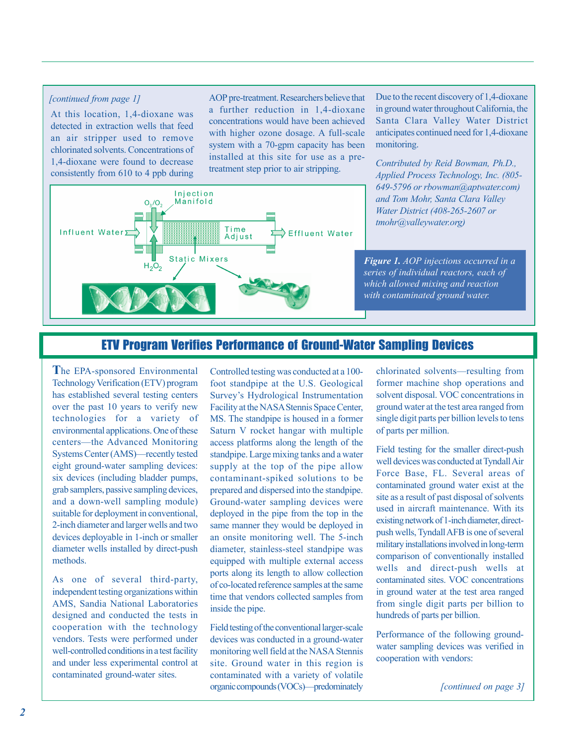### *[continued from page 1]*

At this location, 1,4-dioxane was detected in extraction wells that feed an air stripper used to remove chlorinated solvents. Concentrations of 1,4-dioxane were found to decrease consistently from 610 to 4 ppb during AOP pre-treatment. Researchers believe that a further reduction in 1,4-dioxane concentrations would have been achieved system with a 70-gpm capacity has been installed at this site for use as a pretreatment step prior to air stripping. with higher ozone dosage. A full-scale



Due to the recent discovery of 1,4-dioxane in ground water throughout California, the Santa Clara Valley Water District anticipates continued need for 1,4-dioxane monitoring.

*Contributed by Reid Bowman, Ph.D., ) tmohr@valleywater.org Applied Process Technology, Inc. (805- 649-5796 or rbowman@aptwater.com) and Tom Mohr, Santa Clara Valley Water District (408-265-2607 or* 

*Figure 1. AOP injections occurred in a series of individual reactors, each of which allowed mixing and reaction with contaminated ground water.* 

## ETV Program Verifies Performance of Ground-Water Sampling Devices

**T** he EPA-sponsored Environmental has established several testing centers over the past 10 years to verify new technologies for a variety of environmental applications. One of these Systems Center (AMS)–recently tested eight ground-water sampling devices: six devices (including bladder pumps, grab samplers, passive sampling devices, and a down-well sampling module) suitable for deployment in conventional, 2-inch diameter and larger wells and two devices deployable in 1-inch or smaller diameter wells installed by direct-push methods. Technology Verification (ETV) program centers–the Advanced Monitoring

independent testing organizations within AMS, Sandia National Laboratories designed and conducted the tests in cooperation with the technology well-controlled conditions in a test facility and under less experimental control at contaminated ground-water sites. As one of several third-party, vendors. Tests were performed under Controlled testing was conducted at a 100 foot standpipe at the U.S. Geological MS. The standpipe is housed in a former Saturn V rocket hangar with multiple access platforms along the length of the standpipe. Large mixing tanks and a water supply at the top of the pipe allow contaminant-spiked solutions to be prepared and dispersed into the standpipe. Ground-water sampling devices were deployed in the pipe from the top in the same manner they would be deployed in an onsite monitoring well. The 5-inch equipped with multiple external access ports along its length to allow collection of co-located reference samples at the same time that vendors collected samples from inside the pipe. Survey's Hydrological Instrumentation Facility at the NASA Stennis Space Center, diameter, stainless-steel standpipe was

Field testing of the conventional larger-scale devices was conducted in a ground-water monitoring well field at the NASA Stennis site. Ground water in this region is contaminated with a variety of volatile organic compounds (VOCs)–predominately chlorinated solvents–resulting from former machine shop operations and solvent disposal. VOC concentrations in ground water at the test area ranged from single digit parts per billion levels to tens of parts per million.

Field testing for the smaller direct-push Force Base, FL. Several areas of contaminated ground water exist at the military installations involved in long-term comparison of conventionally installed wells and direct-push wells at contaminated sites. VOC concentrations in ground water at the test area ranged from single digit parts per billion to hundreds of parts per billion. well devices was conducted at Tyndall Air site as a result of past disposal of solvents used in aircraft maintenance. With its existing network of 1-inch diameter, directpush wells, Tyndall AFB is one of several

Performance of the following groundwater sampling devices was verified in cooperation with vendors:

*[continued on page 3]*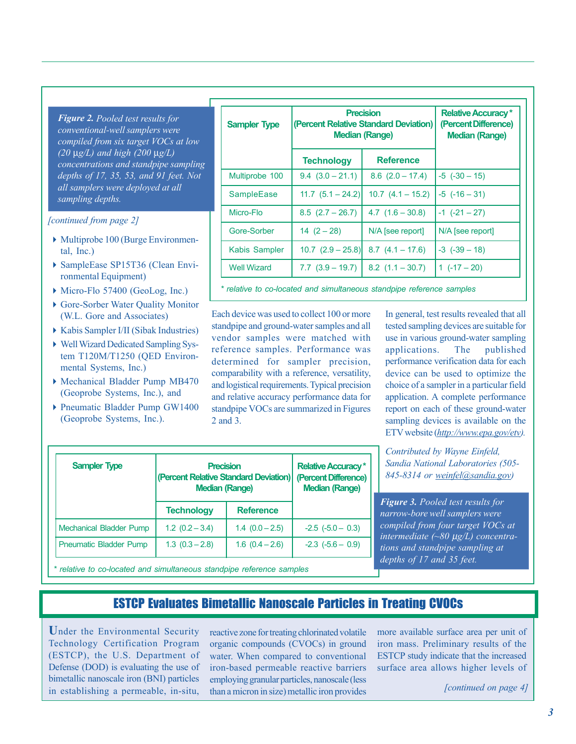*Figure 2. Pooled test results for (20* µ*g/L) and high (200* µ*g/L) concentrations and standpipe sampling conventional-well samplers were compiled from six target VOCs at low depths of 17, 35, 53, and 91 feet. Not all samplers were deployed at all sampling depths.* 

### *[continued from page 2]*

- $\blacktriangleright$  Multiprobe 100 (Burge Environmental, Inc.)
- ▶ SampleEase SP15T36 (Clean Environmental Equipment)
- ◆ Micro-Flo 57400 (GeoLog, Inc.)
- 4 Gore-Sorber Water Quality Monitor ( W.L. Gore and Associates)
- 4Kabis Sampler I/II (Sibak Industries)
- 4 Well Wizard Dedicated Sampling System T120M/T1250 (QED Environmental Systems, Inc.)
- 4Mechanical Bladder Pump MB470 (Geoprobe Systems, Inc.), and
- ▶ Pneumatic Bladder Pump GW1400 (Geoprobe Systems, Inc.).

Mechanical Bladder Pump

**Sampler Type** 

| <b>Sampler Type</b>  | <b>Precision</b><br>(Percent Relative Standard Deviation)<br><b>Median (Range)</b> |                       | <b>Relative Accuracy*</b><br>(Percent Difference)<br><b>Median (Range)</b> |
|----------------------|------------------------------------------------------------------------------------|-----------------------|----------------------------------------------------------------------------|
|                      | <b>Technology</b>                                                                  | <b>Reference</b>      |                                                                            |
| Multiprobe 100       | $9.4(3.0-21.1)$                                                                    | $8.6$ $(2.0 - 17.4)$  | $-5$ $(-30 - 15)$                                                          |
| <b>SampleEase</b>    | $11.7 (5.1 - 24.2)$                                                                | $10.7$ $(4.1 - 15.2)$ | $-5$ $(-16 - 31)$                                                          |
| Micro-Flo            | $8.5$ $(2.7 - 26.7)$                                                               | $4.7(1.6 - 30.8)$     | $-1$ $(-21 - 27)$                                                          |
| Gore-Sorber          | $14(2-28)$                                                                         | N/A [see report]      | N/A [see report]                                                           |
| <b>Kabis Sampler</b> | $10.7$ $(2.9 - 25.8)$                                                              | $8.7$ $(4.1 - 17.6)$  | $-3$ $(-39 - 18)$                                                          |
| <b>Well Wizard</b>   | $7.7(3.9 - 19.7)$                                                                  | $8.2$ $(1.1 - 30.7)$  | $1(.17-20)$                                                                |

*\* relative to co-located and simultaneous standpipe reference samples* 

**Relative Accuracy \* (Percent Difference) Median (Range)** 

 $-2.3$   $(-5.6 - 0.9)$ 

Each device was used to collect 100 or more standpipe and ground-water samples and all vendor samples were matched with reference samples. Performance was determined for sampler precision, and relative accuracy performance data for standpipe VOCs are summarized in Figures 2 and 3. comparability with a reference, versatility, and logistical requirements. Typical precision

In general, test results revealed that all tested sampling devices are suitable for use in various ground-water sampling applications. The published performance verification data for each device can be used to optimize the choice of a sampler in a particular field report on each of these ground-water sampling devices is available on the ETV website (*http://www.epa.gov/etv*). application. A complete performance

*[Sandia National Laborat](http://wwwSandia)ories (505- 845-8314 or weinfel@sandia.gov) Contributed by Wayne Einfeld,* 

*Figure 3. Pooled test results for intermediate (~80* µ*g/L) concentrations and standpipe sampling at depths of 17 and 35 feet. narrow-bore well samplers were compiled from four target VOCs at* 

*\* relative to co-located and simultaneous standpipe reference samples* 

**Technology** 

Pneumatic Bladder Pump  $\begin{vmatrix} 1.3 & (0.3 - 2.8) & 1.6 & (0.4 - 2.6) \end{vmatrix}$ 

## ESTCP Evaluates Bimetallic Nanoscale Particles in Treating CVOCs

**Reference** 

**Precision (Percent Relative Standard Deviation) Median (Range)** 

1.2  $(0.2 - 3.4)$  1.4  $(0.0 - 2.5)$  -2.5  $(-5.0 - 0.3)$ 

**U**nder the Environmental Security (ESTCP), the U.S. Department of Defense (DOD) is evaluating the use of bimetallic nanoscale iron (BNI) particles in establishing a permeable, in-situ, Technology Certification Program

reactive zone for treating chlorinated volatile organic compounds (CVOCs) in ground iron-based permeable reactive barriers employing granular particles, nanoscale (less than a micron in size) metallic iron provides water. When compared to conventional

more available surface area per unit of iron mass. Preliminary results of the ESTCP study indicate that the increased surface area allows higher levels of

*[continued on page 4]*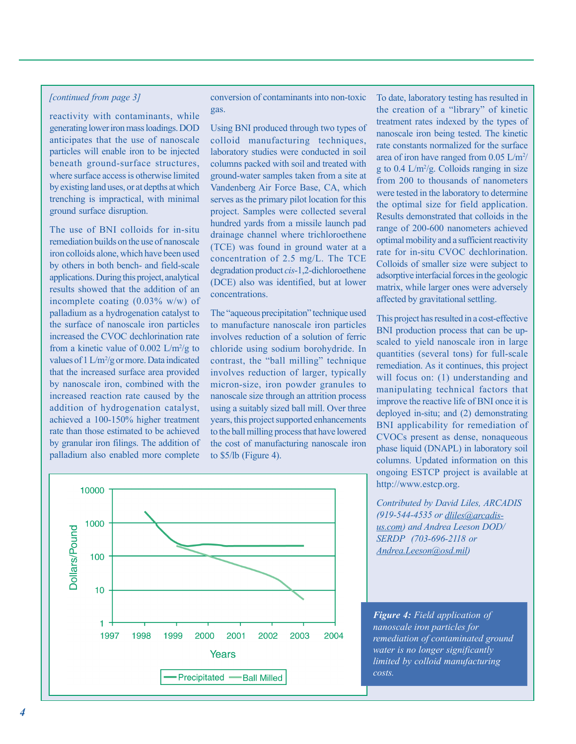### *[continued from page 3]*

reactivity with contaminants, while generating lower iron mass loadings. DOD anticipates that the use of nanoscale particles will enable iron to be injected beneath ground-surface structures, where surface access is otherwise limited by existing land uses, or at depths at which trenching is impractical, with minimal ground surface disruption.

The use of BNI colloids for in-situ remediation builds on the use of nanoscale iron colloids alone, which have been used by others in both bench- and field-scale applications. During this project, analytical results showed that the addition of an incomplete coating (0.03% w/w) of palladium as a hydrogenation catalyst to the surface of nanoscale iron particles increased the CVOC dechlorination rate from a kinetic value of  $0.002$  L/m<sup>2</sup>/g to values of  $1 L/m^2/g$  or more. Data indicated that the increased surface area provided by nanoscale iron, combined with the increased reaction rate caused by the addition of hydrogenation catalyst, achieved a 100-150% higher treatment rate than those estimated to be achieved by granular iron filings. The addition of palladium also enabled more complete

conversion of contaminants into non-toxic gas.

Using BNI produced through two types of colloid manufacturing techniques, laboratory studies were conducted in soil columns packed with soil and treated with ground-water samples taken from a site at serves as the primary pilot location for this project. Samples were collected several hundred yards from a missile launch pad drainage channel where trichloroethene (TCE) was found in ground water at a concentration of 2.5 mg/L. The TCE degradation product *cis*-1,2-dichloroethene (DCE) also was identified, but at lower concentrations. Vandenberg Air Force Base, CA, which

The "aqueous precipitation" technique used to manufacture nanoscale iron particles involves reduction of a solution of ferric chloride using sodium borohydride. In contrast, the "ball milling" technique micron-size, iron powder granules to nanoscale size through an attrition process using a suitably sized ball mill. Over three years, this project supported enhancements to the ball milling process that have lowered the cost of manufacturing nanoscale iron to \$5/lb (Figure 4). involves reduction of larger, typically the creation of a "library" of kinetic treatment rates indexed by the types of nanoscale iron being tested. The kinetic rate constants normalized for the surface area of iron have ranged from  $0.05$  L/m<sup>2</sup>/ g to  $0.4$  L/m<sup>2</sup>/g. Colloids ranging in size from 200 to thousands of nanometers were tested in the laboratory to determine the optimal size for field application. Results demonstrated that colloids in the range of 200-600 nanometers achieved optimal mobility and a sufficient reactivity rate for in-situ CVOC dechlorination. Colloids of smaller size were subject to adsorptive interfacial forces in the geologic matrix, while larger ones were adversely affected by gravitational settling.

To date, laboratory testing has resulted in

This project has resulted in a cost-effective BNI production process that can be upscaled to yield nanoscale iron in large quantities (several tons) for full-scale will focus on: (1) understanding and manipulating technical factors that improve the reactive life of BNI once it is deployed in-situ; and (2) demonstrating BNI applicability for remediation of CVOCs present as dense, nonaqueous phase liquid (DNAPL) in laboratory soil columns. Updated information on this ongoing ESTCP project is available at remediation. As it continues, this project [http://www.estcp.org.](http://www.estcp.org)

*Contributed by David Liles, ARCADIS (919-544-4535 or dliles@arcadis-SERDP (703-696-2118 or Andrea.Leeson@osd.mil) us.com) and Andrea Leeson DOD/* 

*Figure 4: Field application of water is no longer significantly limited by colloid manufacturing costs. nanoscale iron particles for remediation of contaminated ground* 

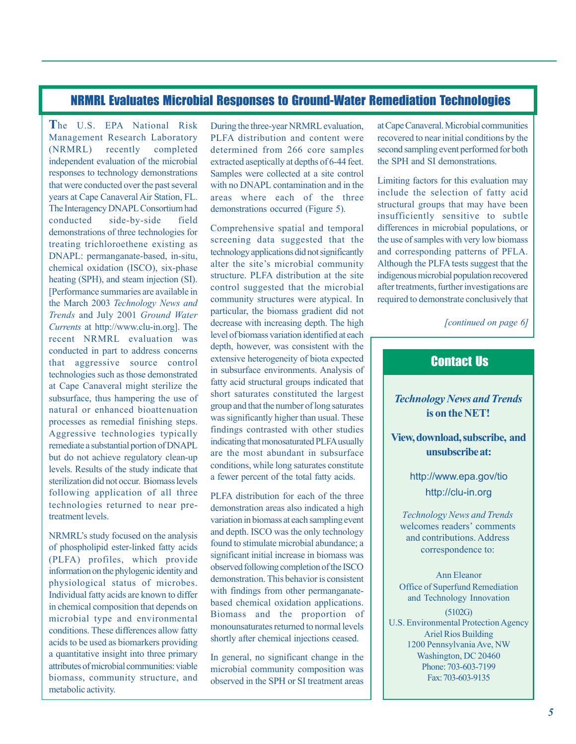## NRMRL Evaluates Microbial Responses to Ground-Water Remediation Technologies

**T**he U.S. EPA National Risk During the three-year NRMRL evaluation, at Cape Canaveral. Microbial communities The Interagency DNAPL Consortium had demonstrations occurred (Figure 5). but do not achieve regulatory clean-up <http://www.epa.gov/tio>sterilization did not occur. Biomass levels a fewer percent of the total fatty acids. following application of all three pLFA distribution for each of the three http://clu-in.org technologies returned to near pre-<br>demonstration areas also indicated a high

in chemical composition that depends on Ariel Rios Building<br>acids to be used as biomarkers providing shortly after chemical injections ceased. 1200 Pennsylvania Ave, NW<br>ashington DC 20460 a quantitative insight into three primary In general, no significant change in the Washington, DC 20460 attributes of microbial community composition was Phone: 703-603-7199 metabolic activity.

Management Research Laboratory PLFA distribution and content were recovered to near initial conditions by the (NRMRL) recently completed determined from 266 core samples second sampling event performed for both independent evaluation of the microbial extracted aseptically at depths of 6-44 feet. the SPH and SI demonstrations. responses to technology demonstrations Samples were collected at a site control that were conducted over the past several with no DNAPL contamination and in the Limiting factors for this evaluation may<br>include the selection of fatty acid years at Cape Canaveral Air Station, FL. areas where each of the three include the selection of fatty acid<br>The International Studies of the selection of the selection of fact include the selection of fatty acid

demonstrations of three technologies for Comprehensive spatial and temporal differences in microbial populations, or<br>treating triablers the section of the section of the section of the section of the section of the section treating trichloroethene existing as screening data suggested that the the use of samples with very low biomass<br>
DNARI: parmareneets besed in gitu DNAPL: permanganate-based, in-situ, technology applications did not significantly and corresponding patterns of PFLA.<br>
abomised evidence (ISCO) six phase alter the site's microbial community Although the PLFA tests suggest chemical oxidation (ISCO), six-phase alter the site's microbial community Although the PLFA tests suggest that the sheeting (SDL) and at the site structure. PLFA distribution at the site indigenous microbial population rec heating (SPH), and steam injection (SI). structure. PLFA distribution at the site indigenous microbial population recovered<br>
Englance auxemention are evoluble in control suggested that the microbial after treatments, furth [Performance summaries are available in control suggested that the microbial after treatments, further investigations are<br>the March 2002 Technology Navy and community structures were atypical. In required to demonstrate co the March 2003 *Technology News and* **community structures were atypical.** In Trends and July 2001 *Crownd Water* particular, the biomass gradient did not *Trends* and July 2001 *Ground Water* **particular**, the biomass gradient did not *Commute at http://www.sh.in.com*] The decrease with increasing depth. The high *Currents* at <http://www.clu-in.org>]. The decrease with increasing depth. The high *[continued on page 6] continued on page 6] continued on page 6]* recent NRMRL evaluation was level of biomass variation identified at each equilibrium of the editing at each depth, however, was consistent with the conducted in part to address concerns depth, however, was consistent with the that aggregative equipment extensive heterogeneity of biota expected that aggressive source control extensive heterogeneity of biota expected **Contact Us** technologies such as those demonstrated in subsurface environments. Analysis of technologies such as those demonstrated fatty acid structural groups indicated that at Cape Canaveral might sterilize the fatty acid structural groups indicated that<br>subsurface that harmonics the use of short saturates constituted the largest subsurface, thus hampering the use of short saturates constituted the largest **Technology News and Trends Technology News and Trends** natural or enhanced bioattenuation group and that the number of long saturates **is on the NET! is on the NET!** processes as remedial finishing steps. Was significantly higher than usual. These<br>A correspondence to the probability of the findings contrasted with other studies Aggressive technologies typically findings contrasted with other studies<br>remediate a substantial portion of DNAPL indicating that monosaturated PLFA usually **View, download, subscribe, and**<br>late de not object a substantial Levels. Results of the study indicate that conditions, while long saturates constitute evels. Results of the study indicate that a fewer percent of the total fatty acids.

technologies returned to near pre-<br>treatment levels.<br>and denth ISCO was the only top hology News and Trends<br>welcomes readers' comments Vandron in biolides are sampling even.<br>
MRMRL's study focused on the analysis and depth. ISCO was the only technology found to stimulate microbial abundance; a of phospholipid ester-linked fatty acids found to stimulate microbial abundance; a correspondence to:<br>(BLEA), gas files, which gravides significant initial increase in biomass was (PLFA) profiles, which provide significant initial increase in biomass was<br>information on the phylogonia identity and observed following completion of the ISCO information on the phylogenic identity and observed following completion of the ISCO Ann Eleanor<br>demonstration. This behavior is consistent physiological status of microbes. demonstration. This behavior is consistent<br>Indicated for linear to differ with findings from other permanganate-Physiological status of microbes.<br>
Individual fatty acids are known to differ with findings from other permanganate-<br>
in elements and Technology Innovation<br>
in elements and Technology Innovation microbial type and environmental<br>
microbial type and environmental<br>
monounsaturates returned to normal levels
U.S. Environmental Protection Agency conditions. These differences allow fatty monounsaturates returned to normal levels and the Agency conditions of the Agency of Ariel Rios Building

microbial community composition was  $\frac{\text{Phone: } 703-603-719}{\text{Fax: } 703-603-9135}}$ biomass, community structure, and observed in the SPH or SI treatment areas

conducted side-by-side field<br>demonstrations of three technologies for Comprehensive spatial and temporal differences in microbial populations, or